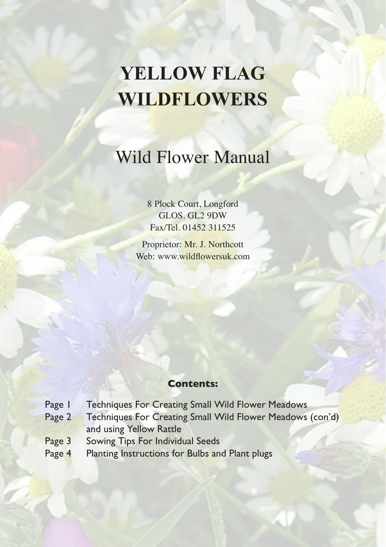# **Yellow Flag Wildflowers**

## Wild Flower Manual

8 Plock Court, Longford GLOS. GL2 9DW Fax/Tel. 01452 311525

Proprietor: Mr. J. Northcott Web: www.wildflowersuk.com

## **Contents:**

- Page 1 Techniques For Creating Small Wild Flower Meadows
- Page 2 Techniques For Creating Small Wild Flower Meadows (con'd) and using Yellow Rattle
- Page 3 Sowing Tips For Individual Seeds
- Page 4 Planting Instructions for Bulbs and Plant plugs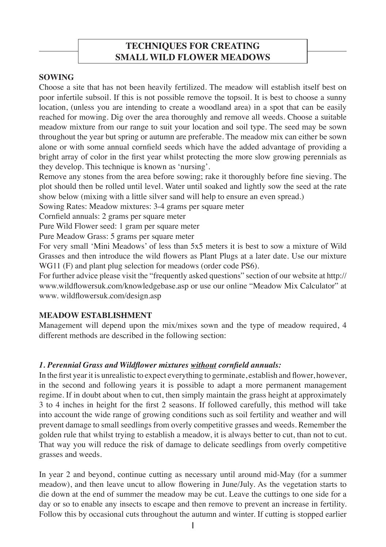## **TECHNIQUES FOR CREATING SMALL WILD FLOWER MEADOWS**

## **Sowing**

Choose a site that has not been heavily fertilized. The meadow will establish itself best on poor infertile subsoil. If this is not possible remove the topsoil. It is best to choose a sunny location, (unless you are intending to create a woodland area) in a spot that can be easily reached for mowing. Dig over the area thoroughly and remove all weeds. Choose a suitable meadow mixture from our range to suit your location and soil type. The seed may be sown throughout the year but spring or autumn are preferable. The meadow mix can either be sown alone or with some annual cornfield seeds which have the added advantage of providing a bright array of color in the first year whilst protecting the more slow growing perennials as they develop. This technique is known as 'nursing'.

Remove any stones from the area before sowing; rake it thoroughly before fine sieving. The plot should then be rolled until level. Water until soaked and lightly sow the seed at the rate show below (mixing with a little silver sand will help to ensure an even spread.)

Sowing Rates: Meadow mixtures: 3-4 grams per square meter

Cornfield annuals: 2 grams per square meter

Pure Wild Flower seed: 1 gram per square meter

Pure Meadow Grass: 5 grams per square meter

For very small 'Mini Meadows' of less than 5x5 meters it is best to sow a mixture of Wild Grasses and then introduce the wild flowers as Plant Plugs at a later date. Use our mixture WG11 (F) and plant plug selection for meadows (order code PS6).

For further advice please visit the "frequently asked questions" section of our website at http:// www.wildflowersuk.com/knowledgebase.asp or use our online "Meadow Mix Calculator" at www. wildflowersuk.com/design.asp

## **Meadow establishment**

Management will depend upon the mix/mixes sown and the type of meadow required, 4 different methods are described in the following section:

## *1. Perennial Grass and Wildflower mixtures without cornfield annuals:*

In the first year it is unrealistic to expect everything to germinate, establish and flower, however, in the second and following years it is possible to adapt a more permanent management regime. If in doubt about when to cut, then simply maintain the grass height at approximately 3 to 4 inches in height for the first 2 seasons. If followed carefully, this method will take into account the wide range of growing conditions such as soil fertility and weather and will prevent damage to small seedlings from overly competitive grasses and weeds. Remember the golden rule that whilst trying to establish a meadow, it is always better to cut, than not to cut. That way you will reduce the risk of damage to delicate seedlings from overly competitive grasses and weeds.

In year 2 and beyond, continue cutting as necessary until around mid-May (for a summer meadow), and then leave uncut to allow flowering in June/July. As the vegetation starts to die down at the end of summer the meadow may be cut. Leave the cuttings to one side for a day or so to enable any insects to escape and then remove to prevent an increase in fertility. Follow this by occasional cuts throughout the autumn and winter. If cutting is stopped earlier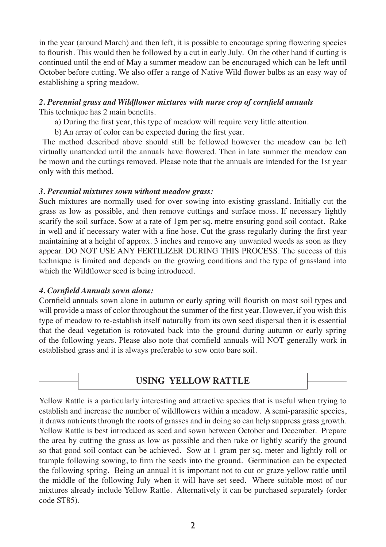in the year (around March) and then left, it is possible to encourage spring flowering species to flourish. This would then be followed by a cut in early July. On the other hand if cutting is continued until the end of May a summer meadow can be encouraged which can be left until October before cutting. We also offer a range of Native Wild flower bulbs as an easy way of establishing a spring meadow.

## *2. Perennial grass and Wildflower mixtures with nurse crop of cornfield annuals*

This technique has 2 main benefits.

- a) During the first year, this type of meadow will require very little attention.
- b) An array of color can be expected during the first year.

 The method described above should still be followed however the meadow can be left virtually unattended until the annuals have flowered. Then in late summer the meadow can be mown and the cuttings removed. Please note that the annuals are intended for the 1st year only with this method.

## *3. Perennial mixtures sown without meadow grass:*

Such mixtures are normally used for over sowing into existing grassland. Initially cut the grass as low as possible, and then remove cuttings and surface moss. If necessary lightly scarify the soil surface. Sow at a rate of 1gm per sq. metre ensuring good soil contact. Rake in well and if necessary water with a fine hose. Cut the grass regularly during the first year maintaining at a height of approx. 3 inches and remove any unwanted weeds as soon as they appear. DO NOT USE ANY FERTILIZER DURING THIS PROCESS. The success of this technique is limited and depends on the growing conditions and the type of grassland into which the Wildflower seed is being introduced.

## *4. Cornfield Annuals sown alone:*

Cornfield annuals sown alone in autumn or early spring will flourish on most soil types and will provide a mass of color throughout the summer of the first year. However, if you wish this type of meadow to re-establish itself naturally from its own seed dispersal then it is essential that the dead vegetation is rotovated back into the ground during autumn or early spring of the following years. Please also note that cornfield annuals will NOT generally work in established grass and it is always preferable to sow onto bare soil.

## **USING YELLOW RATTLE**

Yellow Rattle is a particularly interesting and attractive species that is useful when trying to establish and increase the number of wildflowers within a meadow. A semi-parasitic species, it draws nutrients through the roots of grasses and in doing so can help suppress grass growth. Yellow Rattle is best introduced as seed and sown between October and December. Prepare the area by cutting the grass as low as possible and then rake or lightly scarify the ground so that good soil contact can be achieved. Sow at 1 gram per sq. meter and lightly roll or trample following sowing, to firm the seeds into the ground. Germination can be expected the following spring. Being an annual it is important not to cut or graze yellow rattle until the middle of the following July when it will have set seed. Where suitable most of our mixtures already include Yellow Rattle. Alternatively it can be purchased separately (order code ST85).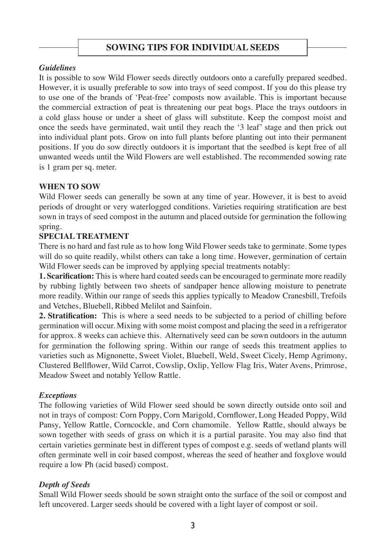## **SOWING TIPS FOR INDIVIDUAL SEEDS**

## *Guidelines*

It is possible to sow Wild Flower seeds directly outdoors onto a carefully prepared seedbed. However, it is usually preferable to sow into trays of seed compost. If you do this please try to use one of the brands of 'Peat-free' composts now available. This is important because the commercial extraction of peat is threatening our peat bogs. Place the trays outdoors in a cold glass house or under a sheet of glass will substitute. Keep the compost moist and once the seeds have germinated, wait until they reach the '3 leaf' stage and then prick out into individual plant pots. Grow on into full plants before planting out into their permanent positions. If you do sow directly outdoors it is important that the seedbed is kept free of all unwanted weeds until the Wild Flowers are well established. The recommended sowing rate is 1 gram per sq. meter.

## **When to sow**

Wild Flower seeds can generally be sown at any time of year. However, it is best to avoid periods of drought or very waterlogged conditions. Varieties requiring stratification are best sown in trays of seed compost in the autumn and placed outside for germination the following spring.

#### **Special Treatment**

There is no hard and fast rule as to how long Wild Flower seeds take to germinate. Some types will do so quite readily, whilst others can take a long time. However, germination of certain Wild Flower seeds can be improved by applying special treatments notably:

**1. Scarification:** This is where hard coated seeds can be encouraged to germinate more readily by rubbing lightly between two sheets of sandpaper hence allowing moisture to penetrate more readily. Within our range of seeds this applies typically to Meadow Cranesbill, Trefoils and Vetches, Bluebell, Ribbed Melilot and Sainfoin.

**2. Stratification:** This is where a seed needs to be subjected to a period of chilling before germination will occur. Mixing with some moist compost and placing the seed in a refrigerator for approx. 8 weeks can achieve this. Alternatively seed can be sown outdoors in the autumn for germination the following spring. Within our range of seeds this treatment applies to varieties such as Mignonette, Sweet Violet, Bluebell, Weld, Sweet Cicely, Hemp Agrimony, Clustered Bellflower, Wild Carrot, Cowslip, Oxlip, Yellow Flag Iris, Water Avens, Primrose, Meadow Sweet and notably Yellow Rattle.

## *Exceptions*

The following varieties of Wild Flower seed should be sown directly outside onto soil and not in trays of compost: Corn Poppy, Corn Marigold, Cornflower, Long Headed Poppy, Wild Pansy, Yellow Rattle, Corncockle, and Corn chamomile. Yellow Rattle, should always be sown together with seeds of grass on which it is a partial parasite. You may also find that certain varieties germinate best in different types of compost e.g. seeds of wetland plants will often germinate well in coir based compost, whereas the seed of heather and foxglove would require a low Ph (acid based) compost.

## *Depth of Seeds*

Small Wild Flower seeds should be sown straight onto the surface of the soil or compost and left uncovered. Larger seeds should be covered with a light layer of compost or soil.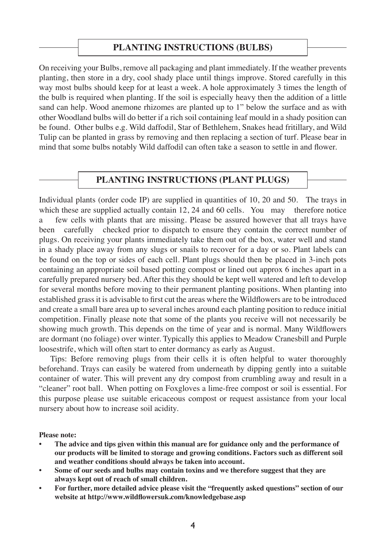## **PLANTING INSTRUCTIONS (BULBS)**

On receiving your Bulbs, remove all packaging and plant immediately. If the weather prevents planting, then store in a dry, cool shady place until things improve. Stored carefully in this way most bulbs should keep for at least a week. A hole approximately 3 times the length of the bulb is required when planting. If the soil is especially heavy then the addition of a little sand can help. Wood anemone rhizomes are planted up to 1" below the surface and as with other Woodland bulbs will do better if a rich soil containing leaf mould in a shady position can be found. Other bulbs e.g. Wild daffodil, Star of Bethlehem, Snakes head fritillary, and Wild Tulip can be planted in grass by removing and then replacing a section of turf. Please bear in mind that some bulbs notably Wild daffodil can often take a season to settle in and flower.

## **PLANTING INSTRUCTIONS (PLANT PLUGS)**

Individual plants (order code IP) are supplied in quantities of 10, 20 and 50. The trays in which these are supplied actually contain 12, 24 and 60 cells. You may therefore notice a few cells with plants that are missing. Please be assured however that all trays have been carefully checked prior to dispatch to ensure they contain the correct number of plugs. On receiving your plants immediately take them out of the box, water well and stand in a shady place away from any slugs or snails to recover for a day or so. Plant labels can be found on the top or sides of each cell. Plant plugs should then be placed in 3-inch pots containing an appropriate soil based potting compost or lined out approx 6 inches apart in a carefully prepared nursery bed. After this they should be kept well watered and left to develop for several months before moving to their permanent planting positions. When planting into established grass it is advisable to first cut the areas where the Wildflowers are to be introduced and create a small bare area up to several inches around each planting position to reduce initial competition. Finally please note that some of the plants you receive will not necessarily be showing much growth. This depends on the time of year and is normal. Many Wildflowers are dormant (no foliage) over winter. Typically this applies to Meadow Cranesbill and Purple loosestrife, which will often start to enter dormancy as early as August.

 Tips: Before removing plugs from their cells it is often helpful to water thoroughly beforehand. Trays can easily be watered from underneath by dipping gently into a suitable container of water. This will prevent any dry compost from crumbling away and result in a "cleaner" root ball. When potting on Foxgloves a lime-free compost or soil is essential. For this purpose please use suitable ericaceous compost or request assistance from your local nursery about how to increase soil acidity.

**Please note:** 

- **• The advice and tips given within this manual are for guidance only and the performance of our products will be limited to storage and growing conditions. Factors such as different soil and weather conditions should always be taken into account.**
- **• Some of our seeds and bulbs may contain toxins and we therefore suggest that they are always kept out of reach of small children.**
- **• For further, more detailed advice please visit the "frequently asked questions" section of our website at http://www.wildflowersuk.com/knowledgebase.asp**